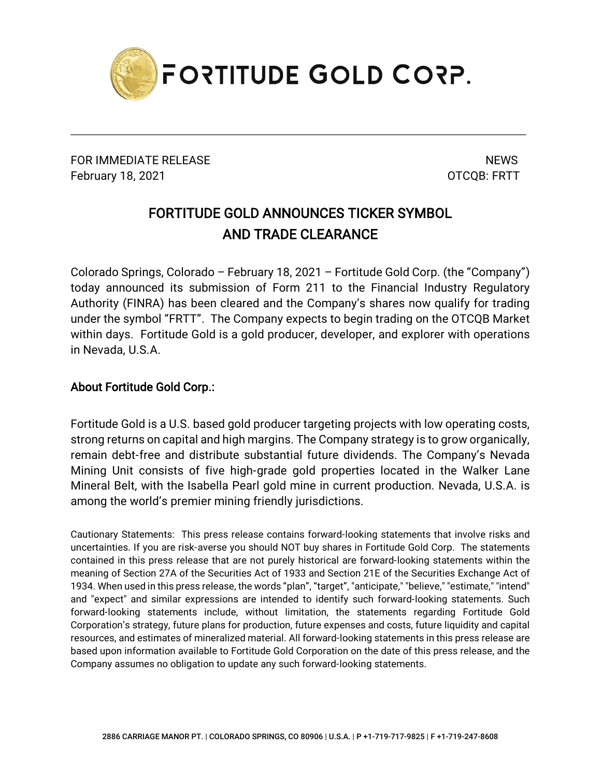

\_\_\_\_\_\_\_\_\_\_\_\_\_\_\_\_\_\_\_\_\_\_\_\_\_\_\_\_\_\_\_\_\_\_\_\_\_\_\_\_\_\_\_\_\_\_\_\_\_\_\_\_\_\_\_\_\_\_\_\_\_\_\_\_\_\_\_\_\_\_\_\_\_\_\_\_\_\_\_\_\_\_\_\_\_

FOR IMMEDIATE RELEASE NEWS SERVICE AND THE MESS OF THE SERVICE OF THE SERVICE OF THE SERVICE OF THE SERVICE OF THE SERVICE OF THE SERVICE OF THE SERVICE OF THE SERVICE OF THE SERVICE OF THE SERVICE OF THE SERVICE OF THE SE February 18, 2021 **CONTROLLER IN THE SET OT COOL FRITT** 

## FORTITUDE GOLD ANNOUNCES TICKER SYMBOL AND TRADE CLEARANCE

Colorado Springs, Colorado – February 18, 2021 – Fortitude Gold Corp. (the "Company") today announced its submission of Form 211 to the Financial Industry Regulatory Authority (FINRA) has been cleared and the Company's shares now qualify for trading under the symbol "FRTT". The Company expects to begin trading on the OTCQB Market within days. Fortitude Gold is a gold producer, developer, and explorer with operations in Nevada, U.S.A.

## About Fortitude Gold Corp.:

Fortitude Gold is a U.S. based gold producer targeting projects with low operating costs, strong returns on capital and high margins. The Company strategy is to grow organically, remain debt-free and distribute substantial future dividends. The Company's Nevada Mining Unit consists of five high-grade gold properties located in the Walker Lane Mineral Belt, with the Isabella Pearl gold mine in current production. Nevada, U.S.A. is among the world's premier mining friendly jurisdictions.

Cautionary Statements: This press release contains forward-looking statements that involve risks and uncertainties. If you are risk-averse you should NOT buy shares in Fortitude Gold Corp. The statements contained in this press release that are not purely historical are forward-looking statements within the meaning of Section 27A of the Securities Act of 1933 and Section 21E of the Securities Exchange Act of 1934. When used in this press release, the words "plan", "target", "anticipate," "believe," "estimate," "intend" and "expect" and similar expressions are intended to identify such forward-looking statements. Such forward-looking statements include, without limitation, the statements regarding Fortitude Gold Corporation's strategy, future plans for production, future expenses and costs, future liquidity and capital resources, and estimates of mineralized material. All forward-looking statements in this press release are based upon information available to Fortitude Gold Corporation on the date of this press release, and the Company assumes no obligation to update any such forward-looking statements.